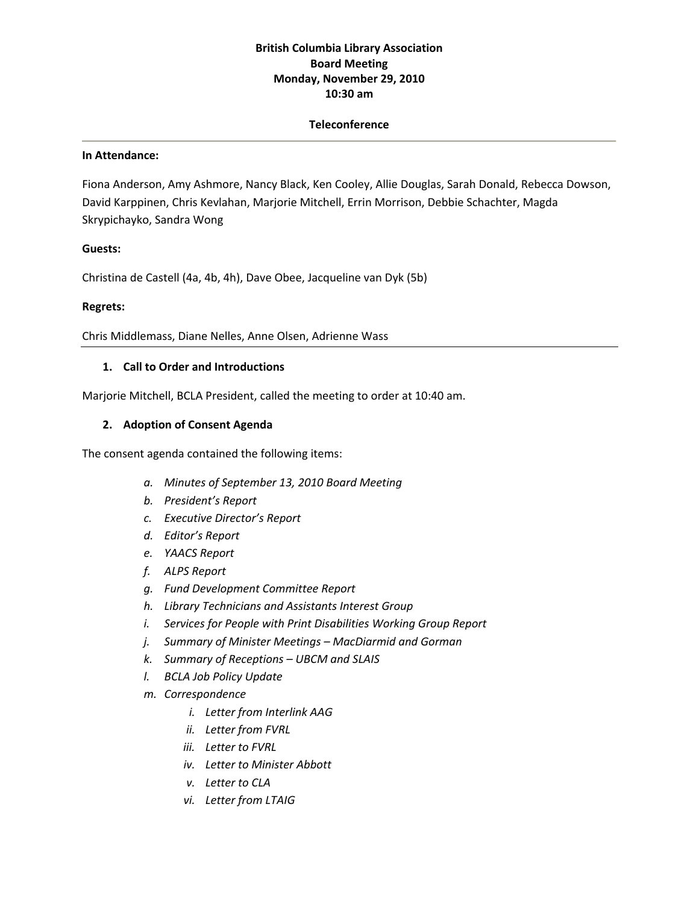# **British Columbia Library Association Board Meeting Monday, November 29, 2010 10:30 am**

### **Teleconference**

#### **In Attendance:**

Fiona Anderson, Amy Ashmore, Nancy Black, Ken Cooley, Allie Douglas, Sarah Donald, Rebecca Dowson, David Karppinen, Chris Kevlahan, Marjorie Mitchell, Errin Morrison, Debbie Schachter, Magda Skrypichayko, Sandra Wong

### **Guests:**

Christina de Castell (4a, 4b, 4h), Dave Obee, Jacqueline van Dyk (5b)

### **Regrets:**

Chris Middlemass, Diane Nelles, Anne Olsen, Adrienne Wass

### **1. Call to Order and Introductions**

Marjorie Mitchell, BCLA President, called the meeting to order at 10:40 am.

### **2. Adoption of Consent Agenda**

The consent agenda contained the following items:

- *a. Minutes of September 13, 2010 Board Meeting*
- *b. President's Report*
- *c. Executive Director's Report*
- *d. Editor's Report*
- *e. YAACS Report*
- *f. ALPS Report*
- *g. Fund Development Committee Report*
- *h. Library Technicians and Assistants Interest Group*
- *i. Services for People with Print Disabilities Working Group Report*
- *j. Summary of Minister Meetings – MacDiarmid and Gorman*
- *k. Summary of Receptions – UBCM and SLAIS*
- *l. BCLA Job Policy Update*
- *m. Correspondence*
	- *i. Letter from Interlink AAG*
	- *ii. Letter from FVRL*
	- *iii. Letter to FVRL*
	- *iv. Letter to Minister Abbott*
	- *v. Letter to CLA*
	- *vi. Letter from LTAIG*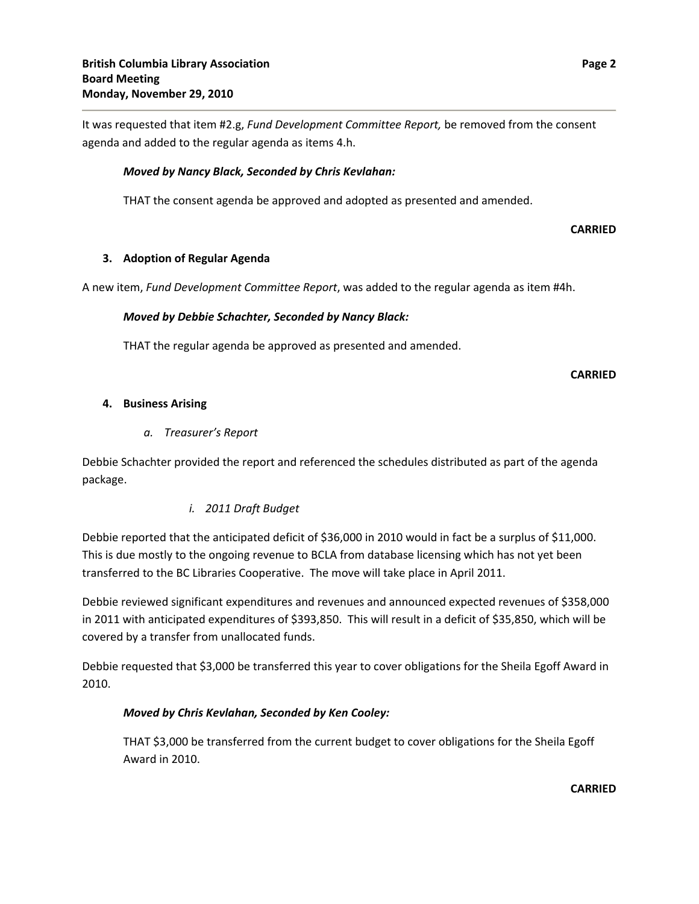It was requested that item #2.g, *Fund Development Committee Report,* be removed from the consent agenda and added to the regular agenda as items 4.h.

## *Moved by Nancy Black, Seconded by Chris Kevlahan:*

THAT the consent agenda be approved and adopted as presented and amended.

**CARRIED**

## **3. Adoption of Regular Agenda**

A new item, *Fund Development Committee Report*, was added to the regular agenda as item #4h.

## *Moved by Debbie Schachter, Seconded by Nancy Black:*

THAT the regular agenda be approved as presented and amended.

**CARRIED**

### **4. Business Arising**

### *a. Treasurer's Report*

Debbie Schachter provided the report and referenced the schedules distributed as part of the agenda package.

## *i. 2011 Draft Budget*

Debbie reported that the anticipated deficit of \$36,000 in 2010 would in fact be a surplus of \$11,000. This is due mostly to the ongoing revenue to BCLA from database licensing which has not yet been transferred to the BC Libraries Cooperative. The move will take place in April 2011.

Debbie reviewed significant expenditures and revenues and announced expected revenues of \$358,000 in 2011 with anticipated expenditures of \$393,850. This will result in a deficit of \$35,850, which will be covered by a transfer from unallocated funds.

Debbie requested that \$3,000 be transferred this year to cover obligations for the Sheila Egoff Award in 2010.

## *Moved by Chris Kevlahan, Seconded by Ken Cooley:*

THAT \$3,000 be transferred from the current budget to cover obligations for the Sheila Egoff Award in 2010.

**CARRIED**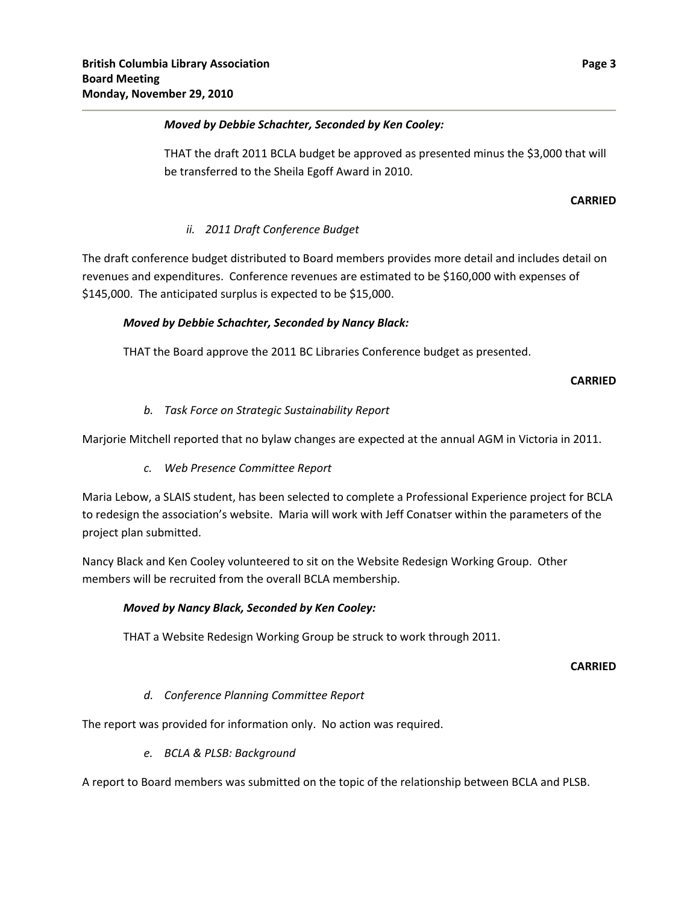## *Moved by Debbie Schachter, Seconded by Ken Cooley:*

THAT the draft 2011 BCLA budget be approved as presented minus the \$3,000 that will be transferred to the Sheila Egoff Award in 2010.

## **CARRIED**

## *ii. 2011 Draft Conference Budget*

The draft conference budget distributed to Board members provides more detail and includes detail on revenues and expenditures. Conference revenues are estimated to be \$160,000 with expenses of \$145,000. The anticipated surplus is expected to be \$15,000.

## *Moved by Debbie Schachter, Seconded by Nancy Black:*

THAT the Board approve the 2011 BC Libraries Conference budget as presented.

### **CARRIED**

## *b. Task Force on Strategic Sustainability Report*

Marjorie Mitchell reported that no bylaw changes are expected at the annual AGM in Victoria in 2011.

## *c. Web Presence Committee Report*

Maria Lebow, a SLAIS student, has been selected to complete a Professional Experience project for BCLA to redesign the association's website. Maria will work with Jeff Conatser within the parameters of the project plan submitted.

Nancy Black and Ken Cooley volunteered to sit on the Website Redesign Working Group. Other members will be recruited from the overall BCLA membership.

### *Moved by Nancy Black, Seconded by Ken Cooley:*

THAT a Website Redesign Working Group be struck to work through 2011.

### **CARRIED**

### *d. Conference Planning Committee Report*

The report was provided for information only. No action was required.

*e. BCLA & PLSB: Background*

A report to Board members was submitted on the topic of the relationship between BCLA and PLSB.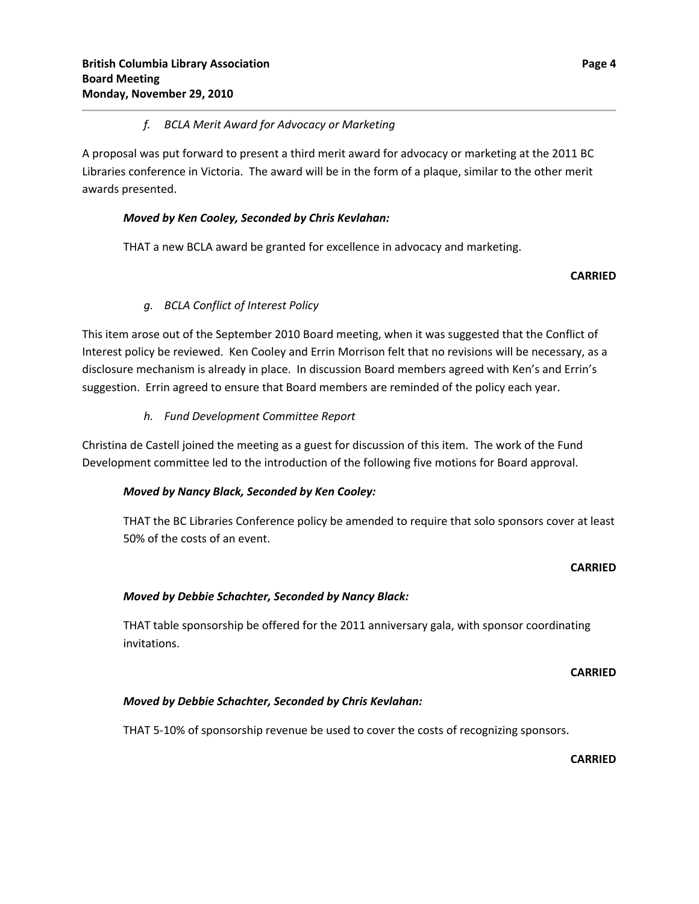## *f. BCLA Merit Award for Advocacy or Marketing*

A proposal was put forward to present a third merit award for advocacy or marketing at the 2011 BC Libraries conference in Victoria. The award will be in the form of a plaque, similar to the other merit awards presented.

## *Moved by Ken Cooley, Seconded by Chris Kevlahan:*

THAT a new BCLA award be granted for excellence in advocacy and marketing.

## **CARRIED**

# *g. BCLA Conflict of Interest Policy*

This item arose out of the September 2010 Board meeting, when it was suggested that the Conflict of Interest policy be reviewed. Ken Cooley and Errin Morrison felt that no revisions will be necessary, as a disclosure mechanism is already in place. In discussion Board members agreed with Ken's and Errin's suggestion. Errin agreed to ensure that Board members are reminded of the policy each year.

# *h. Fund Development Committee Report*

Christina de Castell joined the meeting as a guest for discussion of this item. The work of the Fund Development committee led to the introduction of the following five motions for Board approval.

## *Moved by Nancy Black, Seconded by Ken Cooley:*

THAT the BC Libraries Conference policy be amended to require that solo sponsors cover at least 50% of the costs of an event.

## **CARRIED**

# *Moved by Debbie Schachter, Seconded by Nancy Black:*

THAT table sponsorship be offered for the 2011 anniversary gala, with sponsor coordinating invitations.

## **CARRIED**

## *Moved by Debbie Schachter, Seconded by Chris Kevlahan:*

THAT 5-10% of sponsorship revenue be used to cover the costs of recognizing sponsors.

**CARRIED**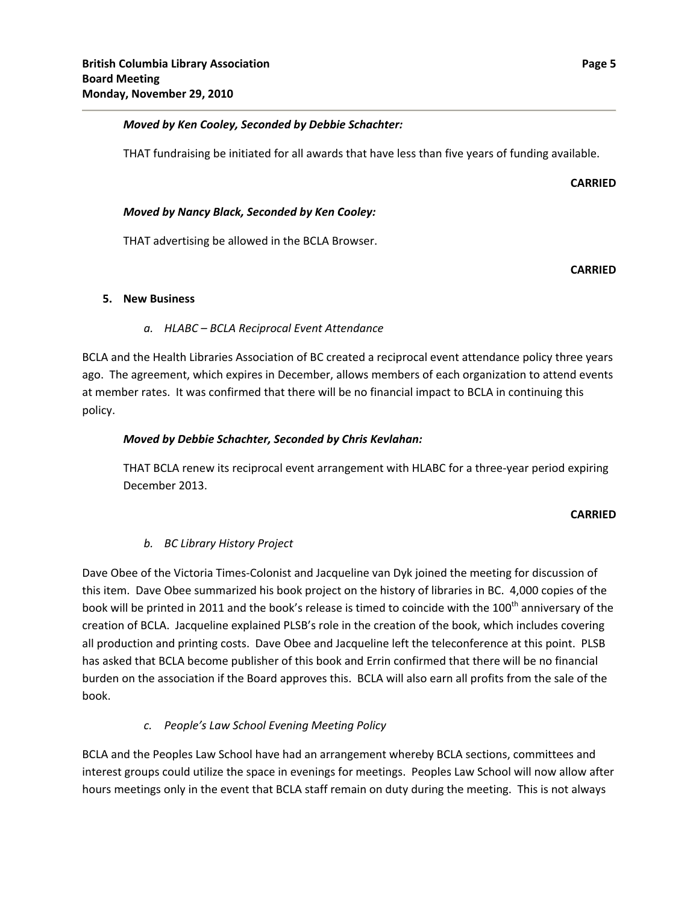## *Moved by Ken Cooley, Seconded by Debbie Schachter:*

THAT fundraising be initiated for all awards that have less than five years of funding available.

#### **CARRIED**

## *Moved by Nancy Black, Seconded by Ken Cooley:*

THAT advertising be allowed in the BCLA Browser.

### **CARRIED**

### **5. New Business**

## *a. HLABC – BCLA Reciprocal Event Attendance*

BCLA and the Health Libraries Association of BC created a reciprocal event attendance policy three years ago. The agreement, which expires in December, allows members of each organization to attend events at member rates. It was confirmed that there will be no financial impact to BCLA in continuing this policy.

## *Moved by Debbie Schachter, Seconded by Chris Kevlahan:*

THAT BCLA renew its reciprocal event arrangement with HLABC for a three‐year period expiring December 2013.

### **CARRIED**

## *b. BC Library History Project*

Dave Obee of the Victoria Times-Colonist and Jacqueline van Dyk joined the meeting for discussion of this item. Dave Obee summarized his book project on the history of libraries in BC. 4,000 copies of the book will be printed in 2011 and the book's release is timed to coincide with the 100<sup>th</sup> anniversary of the creation of BCLA. Jacqueline explained PLSB's role in the creation of the book, which includes covering all production and printing costs. Dave Obee and Jacqueline left the teleconference at this point. PLSB has asked that BCLA become publisher of this book and Errin confirmed that there will be no financial burden on the association if the Board approves this. BCLA will also earn all profits from the sale of the book.

## *c. People's Law School Evening Meeting Policy*

BCLA and the Peoples Law School have had an arrangement whereby BCLA sections, committees and interest groups could utilize the space in evenings for meetings. Peoples Law School will now allow after hours meetings only in the event that BCLA staff remain on duty during the meeting. This is not always